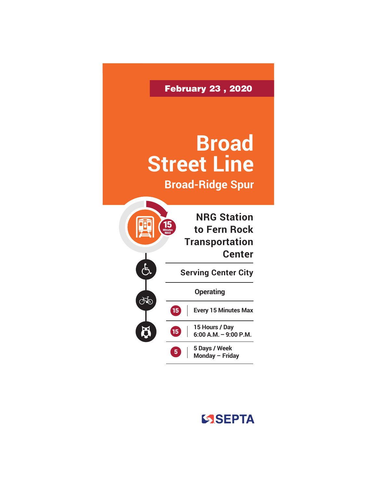

## SSEPTA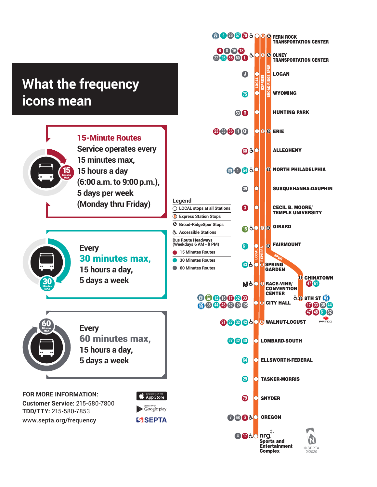## **What the frequency icons mean**



 $\blacktriangleright$  Google play **SSEPTA** 

**Customer Service:** 215-580-7800 **TDD/TTY:** 215-580-7853 www.septa.org/frequency

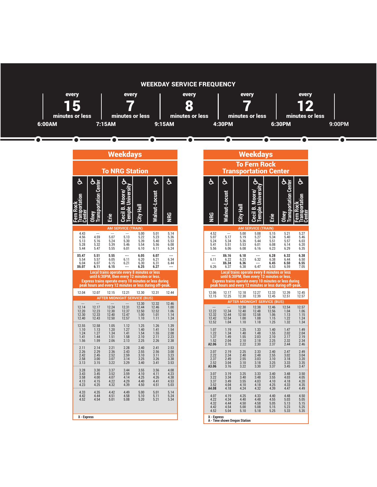

|                                       |                                                                                                                           |                                          | <b>Weekdays</b>                                                                              |                                      |                                      |                                          |  |                                         |
|---------------------------------------|---------------------------------------------------------------------------------------------------------------------------|------------------------------------------|----------------------------------------------------------------------------------------------|--------------------------------------|--------------------------------------|------------------------------------------|--|-----------------------------------------|
|                                       |                                                                                                                           |                                          | <b>To NRG Station</b>                                                                        |                                      |                                      |                                          |  |                                         |
| င်္င                                  | <u>ier</u>                                                                                                                |                                          | ර්                                                                                           |                                      | ჭ                                    | ර්                                       |  | င်္င                                    |
| z                                     | ransı<br><b>Olney</b>                                                                                                     | Erie                                     | Universi<br>Moore/<br>Ó<br>emple<br>$\overline{\text{c}}$ ecil                               | 로                                    | Malnut-Locust                        | <b>SED</b>                               |  | <b>SED</b>                              |
|                                       |                                                                                                                           |                                          | <b>AM SERVICE (TRAIN)</b>                                                                    |                                      |                                      |                                          |  |                                         |
| 4.43<br>4.56<br>5.13<br>5.28<br>5.44  | $\sim$<br>4.59<br>5.16<br>5.32<br>5.47                                                                                    | $\cdots$<br>5.07<br>5.24<br>5.39<br>5.55 | $\sim$<br>5.13<br>5.30<br>5.46<br>6.01                                                       | 5.00<br>5.22<br>5.39<br>5.54<br>6.10 | 5.01<br>5.23<br>5.40<br>5.56<br>6.11 | 5.14<br>5.36<br>5.53<br>6.08<br>6.24     |  | 4.52<br>5.07<br>5.24<br>5.41<br>5.56    |
| X5.47<br>5.54<br>6.04<br>X6.07        | 5.51<br>5.57<br>6.07<br>6.11                                                                                              | 5.55<br>6.05<br>6.15<br>6.15             | ---<br>6.11<br>6.21                                                                          | 6.05<br>6.20<br>6.30<br>6.25         | 6.07<br>6.21<br>6.31<br>6.27         | $\overline{a}$<br>6.34<br>6.44           |  | ---<br>6.11<br><br>6.26                 |
|                                       | <b>Express trains operate every 10 minutes or less during</b><br>peak hours and every 12 minutes or less during off-peak. |                                          | Local trains operate every 8 minutes or less<br>until 6:30PM, then every 12 minutes or less. |                                      |                                      |                                          |  | <b>Express trains</b><br>peak hours and |
| 12.04                                 | 12.07                                                                                                                     | 12.15                                    | 12.21                                                                                        | 12.30                                | 12.31                                | 12.44                                    |  | 12.06<br>12.15                          |
| $\sim$                                | $\sim$                                                                                                                    | $\sim$                                   | <b>AFTER MIDNIGHT SERVICE (BUS)</b><br>$\sim$                                                | 12.30                                | 12.32                                | 12.46                                    |  |                                         |
| 12.14<br>12.20<br>12.30<br>12.40      | 12.17<br>12.23<br>12.33<br>12.43                                                                                          | 12.24<br>12.30<br>12.40<br>12.50         | 12.31<br>12.37<br>12.47<br>12.57                                                             | 12.44<br>12.50<br>1.00<br>1.10       | 12.46<br>12.52<br>1.01<br>1.11       | 1.00<br>1.06<br>1.14<br>1.24             |  | 12.22<br>12.32<br>12.42<br>12.52        |
| 12.55<br>1.10<br>1.24<br>1.41<br>1.56 | 12.58<br>1.13<br>1.27<br>1.44<br>1.59                                                                                     | 1.05<br>1.20<br>1.34<br>1.51<br>2.06     | 1.12<br>1.27<br>1.41<br>1.58<br>2.13                                                         | 1.25<br>1.40<br>1.54<br>2.10<br>2.25 | 1.26<br>1.41<br>1.55<br>2.11<br>2.26 | 1.39<br>1.54<br>2.08<br>2.23<br>2.38     |  | 1.07<br>1.22<br>1.37<br>1.52<br>A2.06   |
| 2.11<br>2.26<br>2.42<br>2.58<br>3.13  | 2.14<br>2.29<br>2.45<br>3.00<br>3.15                                                                                      | 2.21<br>2.36<br>2.52<br>3.07<br>3.22     | 2.28<br>2.43<br>2.59<br>3.14<br>3.29                                                         | 2.40<br>2.55<br>3.10<br>3.25<br>3.40 | 2.41<br>2.56<br>3.11<br>3.26<br>3.41 | 2.53<br>3.08<br>3.23<br>3.38<br>3.53     |  | 2.07<br>2.22<br>2.37<br>2.52<br>A3.06   |
| 3.28<br>3.43<br>3.58<br>4.13<br>4.23  | 3.30<br>3.45<br>4.00<br>4.15<br>4.25                                                                                      | 3.37<br>3.52<br>4.07<br>4.22<br>4.32     | 3.44<br>3.59<br>4.14<br>4.29<br>4.39                                                         | 3.55<br>4.10<br>4.25<br>4.40<br>4.50 | 3.56<br>4.11<br>4.26<br>4.41<br>4.51 | 4.08<br>$4.23$<br>$4.38$<br>4.53<br>5.03 |  | 3.07<br>3.22<br>3.37<br>3.52<br>A4.08   |
| 4.33<br>4.42<br>4.52                  | 4.35<br>4.44<br>4.54                                                                                                      | 4.42<br>4.51<br>5.01                     | 4.49<br>4.58<br>5.08                                                                         | 5.00<br>5.10<br>5.20                 | 5.01<br>5.11<br>5.21                 | 5.14<br>5.24<br>5.34                     |  | 4.07<br>4.22<br>4.32<br>4.42<br>4.52    |
| X - Express                           |                                                                                                                           |                                          |                                                                                              |                                      |                                      |                                          |  | X - Express<br>A - Time shown Ore       |

|                                       |                                                                                                                                                                                                                    |                                         | <u>Neekdays</u>                                     |                                        |                                       |                                       |
|---------------------------------------|--------------------------------------------------------------------------------------------------------------------------------------------------------------------------------------------------------------------|-----------------------------------------|-----------------------------------------------------|----------------------------------------|---------------------------------------|---------------------------------------|
|                                       |                                                                                                                                                                                                                    |                                         | <b>To Fern Rock</b><br><b>Transportation Center</b> |                                        |                                       |                                       |
| င်္င                                  | င်္င                                                                                                                                                                                                               |                                         |                                                     |                                        |                                       |                                       |
|                                       |                                                                                                                                                                                                                    |                                         |                                                     |                                        |                                       |                                       |
|                                       |                                                                                                                                                                                                                    |                                         | <b>AM SERVICE (TRAIN)</b>                           |                                        |                                       |                                       |
| 4.52<br>5.07<br>5.24<br>5.41<br>5.56  | $\sim$<br>5.17<br>5.34<br>5.51<br>6.06                                                                                                                                                                             | 5.00<br>5.19<br>5.36<br>5.53<br>6.08    | 5.08<br>5.27<br>5.44<br>6.01<br>6.16                | 5.15<br>5.34<br>5.51<br>6.08<br>6.23   | 5.21<br>5.40<br>5.57<br>6.14<br>6.29  | 5.27<br>5.46<br>6.03<br>6.20<br>6.35  |
| 6.11<br>6.26                          | X6.16<br>6.22<br>X6.34<br>6.37                                                                                                                                                                                     | 6.18<br>6.23<br>6.36<br>6.38            | <br>6.32<br>6.47                                    | 6.28<br>6.38<br>6.45<br>6.53           | 6.32<br>6.44<br>6.50<br>6.59          | 6.38<br>6.50<br>6.55<br>7.05          |
|                                       | Local trains operate every 8 minutes or less<br>until 6:30PM, then every 12 minutes or less.<br>Express trains operate every 10 minutes or less during<br>peak hours and every 12 minutes or less during off-peak. |                                         |                                                     |                                        |                                       |                                       |
| 12.06<br>12.15                        | 12.17<br>12.25                                                                                                                                                                                                     | 12.18<br>12.30                          | 12.27<br>12.39                                      | 12.33<br>12.45                         | 12.39<br>12.51                        | 12.45<br>12.57                        |
|                                       |                                                                                                                                                                                                                    |                                         | <b>AFTER MIDNIGHT SERVICE (BUS)</b>                 |                                        |                                       |                                       |
| 12.22<br>12.32<br>12.42<br>12.52      | 12.34<br>12.44<br>12.54<br>1.04                                                                                                                                                                                    | 12.30<br>12.40<br>12.50<br>1.00<br>1.10 | 12.38<br>12.48<br>12.58<br>1.08<br>1.18             | 12.46<br>12.56<br>1.06<br>1.15<br>1.25 | 12.54<br>1.04<br>1.13<br>1.22<br>1.32 | 12.57<br>1.06<br>1.15<br>1.24<br>1.34 |
| 1.07<br>1.22<br>1.37<br>1.52<br>A2.06 | 1.19<br>1.34<br>1.49<br>2.04<br>2.16                                                                                                                                                                               | 1.25<br>1.40<br>1.55<br>2.10<br>2.22    | 1.33<br>1.48<br>2.03<br>2.18<br>2.30                | 1.40<br>1.55<br>2.10<br>2.25<br>2.37   | 1.47<br>2.02<br>2.17<br>2.32<br>2.44  | 1.49<br>2.04<br>2.19<br>2.34<br>2.46  |
| 2.07<br>2.22<br>2.37<br>2.52<br>A3.06 | 2.19<br>2.34<br>2.49<br>3.04<br>3.16                                                                                                                                                                               | 2.25<br>2.40<br>2.55<br>3.10<br>3.22    | 2.33<br>2.48<br>3.03<br>3.18<br>3.30                | 2.40<br>2.55<br>3.10<br>3.25<br>3.37   | 2.47<br>3.02<br>3.18<br>3.33<br>3.45  | 2.49<br>3.04<br>3.20<br>3.35<br>3.47  |
| 3.07<br>3.22<br>3.37<br>3.52<br>A4.08 | 3.19<br>3.34<br>3.49<br>4.04<br>4.18                                                                                                                                                                               | 3.25<br>3.40<br>3.55<br>4.10<br>4.24    | 3.33<br>3.48<br>4.03<br>4.18<br>4.32                | 3.40<br>3.55<br>4.10<br>4.25<br>4.39   | 3.48<br>4.03<br>4.18<br>4.33<br>4.47  | 3.50<br>4.05<br>4.20<br>4.35<br>4.49  |
| 4.07<br>4.22<br>4.32<br>4.42<br>4.52  | 4.19<br>4.34<br>4.44<br>4.54<br>5.04                                                                                                                                                                               | 4.25<br>4.40<br>4.50<br>5.00<br>5.10    | 4.33<br>4.48<br>4.58<br>5.08<br>5.18                | 4.40<br>4.55<br>5.05<br>5.15<br>5.25   | 4.48<br>5.03<br>5.13<br>5.23<br>5.33  | 4.50<br>5.05<br>5.15<br>5.25<br>5.35  |
| X - Express                           | A - Time shown Oregon Station                                                                                                                                                                                      |                                         |                                                     |                                        |                                       |                                       |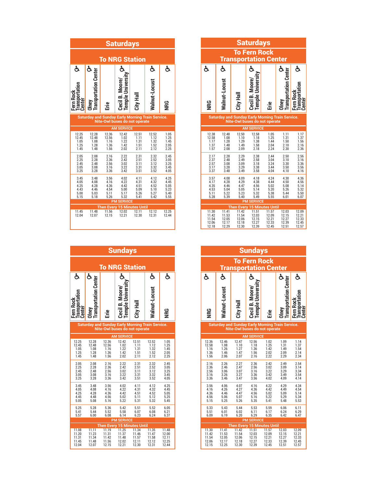| <b>Saturdays</b>                             |                                                         |                                              |                                                      |                                              |                                              |                                              |  |  |  |
|----------------------------------------------|---------------------------------------------------------|----------------------------------------------|------------------------------------------------------|----------------------------------------------|----------------------------------------------|----------------------------------------------|--|--|--|
|                                              |                                                         |                                              | <b>To NRG Station</b>                                |                                              |                                              |                                              |  |  |  |
| ර්                                           |                                                         |                                              |                                                      |                                              | s                                            | င်္င                                         |  |  |  |
| ransportat<br>Fern Rock<br>Center :          | <b>Iransportation Center</b><br><b>Olney</b>            | Erie                                         | Cecil B. Moore,<br>Temple                            | City Hall                                    | Walnut-Locust                                | <b>NRG</b>                                   |  |  |  |
|                                              | <b>Saturday and Sunday Early Morning Train Service.</b> |                                              | Nite-Owl buses do not operate                        |                                              |                                              |                                              |  |  |  |
|                                              |                                                         |                                              | <b>AM SERVICE</b>                                    |                                              |                                              |                                              |  |  |  |
| 12.25<br>12.45<br>1.05<br>1.25<br>1.45       | 12.28<br>12.48<br>1.08<br>1.28<br>1.48                  | 12.36<br>12.56<br>1.16<br>1.36<br>1.56       | 12.42<br>1.02<br>1.22<br>1.42<br>2.02                | 12.51<br>1.11<br>1.31<br>1.51<br>2.11        | 12.52<br>1.12<br>1.32<br>1.52<br>2.12        | 1.05<br>1.25<br>1.45<br>2.05<br>2.25         |  |  |  |
| 2.05<br>2.25<br>2.45<br>3.05<br>3.25         | 2.08<br>2.28<br>2.48<br>3.08<br>3.28                    | 2.16<br>2.36<br>2.56<br>3.16<br>3.36         | 2.22<br>2.42<br>3.02<br>3.22<br>3.42                 | 2.31<br>2.51<br>3.11<br>3.31<br>3.51         | 2.32<br>2.52<br>3.12<br>3.32<br>3.52         | 2.45<br>3.05<br>3.25<br>3.45<br>4.05         |  |  |  |
| 3.45<br>4.05<br>4.25<br>4.43<br>5.00<br>5.15 | 3.48<br>4.08<br>4.28<br>4.46<br>5.03<br>5.18            | 3.56<br>4.16<br>4.36<br>4.54<br>5.11<br>5.26 | 4.02<br>4.22<br>4.42<br>5.00<br>5.17<br>5.32         | 4.11<br>4.31<br>4.51<br>5.09<br>5.26<br>5.41 | 4.12<br>4.32<br>4.52<br>5.10<br>5.27<br>5.42 | 4.25<br>4.45<br>5.05<br>5.23<br>5.40<br>5.55 |  |  |  |
|                                              |                                                         |                                              | <b>PM SERVICE</b>                                    |                                              |                                              |                                              |  |  |  |
| 11.45<br>12.04                               | 11.48<br>12.07                                          | 11.56<br>12.15                               | <b>Then Every 15 Minutes Until</b><br>12.02<br>12.21 | 12.11<br>12.30                               | 12.12<br>12.31                               | 12.25<br>12.44                               |  |  |  |

| <b>Sundays</b>                                 |                                                         |                                           |                                                                                 |                                           |                                           |                                           |  |  |  |
|------------------------------------------------|---------------------------------------------------------|-------------------------------------------|---------------------------------------------------------------------------------|-------------------------------------------|-------------------------------------------|-------------------------------------------|--|--|--|
|                                                |                                                         |                                           | <b>To NRG Station</b>                                                           |                                           |                                           |                                           |  |  |  |
| ර්<br><b>Iransporta</b><br>Fern Rock<br>Center | ර්<br><b>Transportation Center</b><br>Jiney             | Ěrie                                      | <b>Jniversit</b><br>Cecil B. Moore<br><b>Temple</b>                             | City Hall                                 | ර්<br>Walnut-Locust                       | င်္င<br><b>NIRG</b>                       |  |  |  |
|                                                | <b>Saturday and Sunday Early Morning Train Service.</b> |                                           | Nite-Owl buses do not operate                                                   |                                           |                                           |                                           |  |  |  |
|                                                |                                                         |                                           | <b>AM SERVICE</b>                                                               |                                           |                                           |                                           |  |  |  |
| 12.25<br>12.45<br>1.05<br>1.25<br>1.45         | 12.28<br>12.48<br>1.08<br>1.28<br>1.48                  | 12.36<br>12.56<br>1.16<br>1.36<br>1.56    | 12.42<br>1.02<br>1.22<br>1.42<br>2.02                                           | 12.51<br>1.11<br>1.31<br>1.51<br>2.11     | 12.52<br>1.12<br>1.32<br>1.52<br>2.12     | 1.05<br>1.25<br>1.45<br>2.05<br>2.25      |  |  |  |
| 2.05<br>2.25<br>2.45<br>3.05<br>3.25           | 2.08<br>2.28<br>2.48<br>3.08<br>3.28                    | 2.16<br>2.36<br>2.56<br>3.16<br>3.36      | 2.22<br>2.42<br>3.02<br>3.22<br>3.42                                            | 2.31<br>2.51<br>3.11<br>3.31<br>3.51      | 2.32<br>2.52<br>3.12<br>3.32<br>3.52      | 2.45<br>3.05<br>3.25<br>3.45<br>4.05      |  |  |  |
| 3.45<br>4.05<br>4.25<br>4.45<br>5.05           | 3.48<br>4.08<br>4.28<br>4.48<br>5.08                    | 3.56<br>4.16<br>4.36<br>4.56<br>5.16      | 4.02<br>4.22<br>4.42<br>5.02<br>5.22                                            | 4.11<br>4.31<br>4.51<br>5.11<br>5.31      | 4.12<br>4.32<br>4.52<br>5.12<br>5.32      | 4.25<br>4.45<br>5.05<br>5.25<br>5.45      |  |  |  |
| 5.25<br>5.41<br>5.57                           | 5.28<br>5.44<br>6.00                                    | 5.36<br>5.52<br>6.08                      | 5.42<br>5.58<br>6.14                                                            | 5.51<br>6.07<br>6.23                      | 5.52<br>6.08<br>6.24                      | 6.05<br>6.21<br>6.37                      |  |  |  |
|                                                |                                                         |                                           | <b>PM SERVICE</b>                                                               |                                           |                                           |                                           |  |  |  |
| 11.08<br>11.20<br>11.31<br>11.45<br>12.04      | 11.11<br>11.23<br>11.34<br>11.48<br>12.07               | 11.19<br>11.31<br>11.42<br>11.56<br>12.15 | <b>Then Every 15 Minutes Until</b><br>11.25<br>11.37<br>11.48<br>12.02<br>12.21 | 11.34<br>11.46<br>11.57<br>12.11<br>12.30 | 11.35<br>11.47<br>11.58<br>12.12<br>12.31 | 11.48<br>12.00<br>12.11<br>12.25<br>12.44 |  |  |  |

| <b>Saturdays</b>                             |                                                                      |                                              |                                              |                                              |                                              |                                              |                                              | <b>Saturdays</b>                                                                         |                                              |                                              |                                              |
|----------------------------------------------|----------------------------------------------------------------------|----------------------------------------------|----------------------------------------------|----------------------------------------------|----------------------------------------------|----------------------------------------------|----------------------------------------------|------------------------------------------------------------------------------------------|----------------------------------------------|----------------------------------------------|----------------------------------------------|
|                                              | <b>NRG Station</b>                                                   |                                              |                                              |                                              |                                              |                                              |                                              | <b>To Fern Rock</b><br><b>Transportation Center</b>                                      |                                              |                                              |                                              |
|                                              | ර්                                                                   |                                              | ර්                                           | ර්                                           | ර්                                           | ර්                                           |                                              | ර්                                                                                       |                                              | ර්                                           | ර්                                           |
| <b>Ene</b>                                   | Cecil B. Moore/<br>Temple University                                 | City Hall                                    | Walnut-Locust                                | <b>NRG</b>                                   | <b>SE</b>                                    | Walnut-Locust                                | City Hall                                    | University<br>Moore/<br>Cecil B.<br>Temple l                                             | Erie                                         | Olney<br>Transportation Center               | Fern Rock<br>Transportation<br>Center        |
|                                              | unday Early Morning Train Service.<br><b>WI buses do not operate</b> |                                              |                                              |                                              |                                              |                                              |                                              | <b>Saturday and Sunday Early Morning Train Service.</b><br>Nite-Owl buses do not operate |                                              |                                              |                                              |
|                                              | <b>AM SERVICE</b>                                                    |                                              |                                              |                                              |                                              |                                              |                                              | <b>AM SERVICE</b>                                                                        |                                              |                                              |                                              |
| 2.36<br>2.56<br>1.16<br>1.36<br>1.56         | 12.42<br>1.02<br>1.22<br>1.42<br>2.02                                | 12.51<br>1.11<br>1.31<br>1.51<br>2.11        | 12.52<br>1.12<br>1.32<br>1.52<br>2.12        | 1.05<br>1.25<br>1.45<br>$2.05$<br>$2.25$     | 12.38<br>12.58<br>1.17<br>1.37<br>1.57       | 12.48<br>1.08<br>1.28<br>1.48<br>2.08        | 12.50<br>1.10<br>1.29<br>1.49<br>2.09        | 12.58<br>1.18<br>1.38<br>1.58<br>2.18                                                    | 1.05<br>1.25<br>1.44<br>2.04<br>2.24         | 1.11<br>1.31<br>1.50<br>2.10<br>2.30         | 1.17<br>1.37<br>1.56<br>2.16<br>2.36         |
| 2.16<br>2.36<br>$\frac{2.56}{3.16}$<br>3.36  | 2.22<br>2.42<br>3.02<br>3.22<br>3.42                                 | 2.31<br>2.51<br>3.11<br>3.31<br>3.51         | 2.32<br>2.52<br>3.12<br>3.32<br>3.52         | 2.45<br>3.05<br>3.25<br>3.45<br>4.05         | 2.17<br>2.37<br>2.57<br>3.17<br>3.37         | 2.28<br>2.48<br>3.08<br>3.28<br>3.48         | 2.29<br>2.49<br>3.09<br>3.29<br>3.49         | 2.38<br>2.58<br>3.18<br>3.38<br>3.58                                                     | 2.44<br>3.04<br>3.24<br>3.44<br>4.04         | 2.50<br>3.10<br>3.30<br>3.50<br>4.10         | 2.56<br>3.16<br>3.36<br>3.56<br>4.16         |
| 3.56<br>4.16<br>4.36<br>4.54<br>5.11<br>5.26 | 4.02<br>4.22<br>4.42<br>5.00<br>5.17<br>5.32                         | 4.11<br>4.31<br>4.51<br>5.09<br>5.26<br>5.41 | 4.12<br>4.32<br>4.52<br>5.10<br>5.27<br>5.42 | 4.25<br>4.45<br>5.05<br>5.23<br>5.40<br>5.55 | 3.57<br>4.17<br>4.35<br>4.53<br>5.11<br>5.28 | 4.08<br>4.28<br>4.46<br>5.04<br>5.22<br>5.39 | 4.09<br>4.29<br>4.47<br>5.05<br>5.23<br>5.40 | 4.18<br>4.38<br>4.56<br>5.14<br>5.32<br>5.49                                             | 4.24<br>4.44<br>5.02<br>5.20<br>5.38<br>5.55 | 4.30<br>4.50<br>5.08<br>5.26<br>5.44<br>6.01 | 4.36<br>4.56<br>5.14<br>5.32<br>5.50<br>6.07 |
|                                              | <b>PM SERVICE</b>                                                    |                                              |                                              |                                              |                                              |                                              |                                              | <b>PM SERVICE</b>                                                                        |                                              |                                              |                                              |
| 1.56                                         | <b>Every 15 Minutes Until</b><br>12.02                               | 12.11                                        | 12.12                                        | 12.25                                        | 11.30                                        | 11.41                                        | 11.42                                        | <b>Then Every 15 Minutes Until</b><br>11.51                                              | 11.57                                        | 12.03                                        | 12.09                                        |
| 2.15                                         | 12.21                                                                | 12.30                                        | 12.31                                        | 12.44                                        | 11.42<br>11.54<br>12.06<br>12.18             | 11.53<br>12.05<br>12.17<br>12.29             | 11.54<br>12.06<br>12.18<br>12.30             | 12.03<br>12.15<br>12.27<br>12.39                                                         | 12.09<br>12.21<br>12.33<br>12.45             | 12.15<br>12.27<br>12.39<br>12.51             | 12.21<br>12.33<br>12.45<br>12.57             |